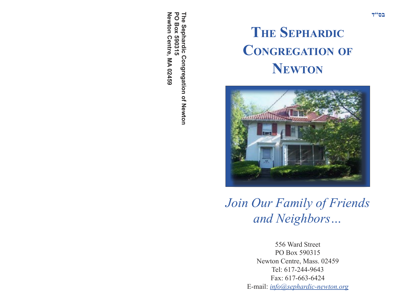**The Sephardic Congregation of Newton**Newton Centre, MA 02459 **Newton Centre, MA 02459 PO Box 590315 PO Box 590315** The Sephardic Congregation of Newton

## **THE SEPHARDIC CONGREGATION OF NEWTON**



*Join Our Family of Friends and Neighbors…*

> 556 Ward Street PO Box 590315 Newton Centre, Mass. 02459 Tel: 617-244-9643 Fax: 617-663-6424 E-mail: *info@sephardic-newton.org*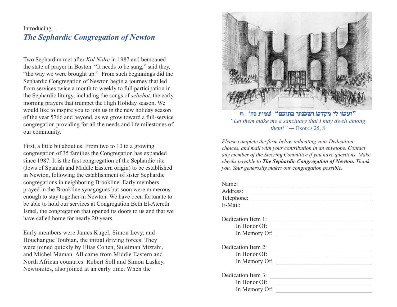## Introducing… *The Sephardic Congregation of Newton*

Two Sephardim met after *Kol Nidre* in 1987 and bemoaned the state of prayer in Boston. "It needs to be sung," said they, "the way we were brought up." From such beginnings did the Sephardic Congregation of Newton begin a journey that led from services twice a month to weekly to full participation in the Sephardic liturgy, including the songs of *selichot,* the early morning prayers that trumpet the High Holiday season. We would like to inspire you to join us in the new holiday season of the year 5766 and beyond, as we grow toward a full-service congregation providing for all the needs and life milestones of our community.

First, a little bit about us. From two to 10 to a growing congregation of 35 families the Congregation has expanded since 1987. It is the first congregation of the Sephardic rite (Jews of Spanish and Middle Eastern origin) to be established in Newton, following the establishment of sister Sephardic congregations in neighboring Brookline. Early members prayed in the Brookline synagogues but soon were numerous enough to stay together in Newton. We have been fortunate to be able to hold our services at Congregation Beth El-Atereth Israel, the congregation that opened its doors to us and that we have called home for nearly 20 years.

Early members were James Kugel, Simon Levy, and Houchangue Toubian, the initial driving forces. They were joined quickly by Elias Cohen, Suleiman Mizrahi, and Michel Maman. All came from Middle Eastern and North African countries. Robert Soll and Simon Laskey, Newtonites, also joined at an early time. When the



**"ועשׂוּ לי מקדשׂ ושּׁכנתי בתוכם" שּׁמּות כה' ٫ח** *"Let them make me a sanctuary that I may dwell among them!" —* EXODUS 25, 8

*Please complete the form below indicating your Dedication choices, and mail with your contribution in an envelope. Contact any member of the Steering Committee if you have questions. Make checks payable to The Sephardic Congregation of Newton. Thank you. Your generosity makes our congregation possible.*

| Name:                   |                                                                                                                        |
|-------------------------|------------------------------------------------------------------------------------------------------------------------|
|                         |                                                                                                                        |
|                         |                                                                                                                        |
| E-Mail: $\qquad \qquad$ |                                                                                                                        |
|                         |                                                                                                                        |
| Dedication Item 1:      |                                                                                                                        |
|                         |                                                                                                                        |
|                         | In Memory Of:                                                                                                          |
| Dedication Item 2:      | <u> Territoria de la construcción de la construcción de la construcción de la construcción de la construcción de l</u> |
|                         | In Honor Of:                                                                                                           |
|                         | In Memory Of:                                                                                                          |
|                         |                                                                                                                        |
| Dedication Item 3:      |                                                                                                                        |
| In Honor Of:            |                                                                                                                        |
| In Memory Of:           |                                                                                                                        |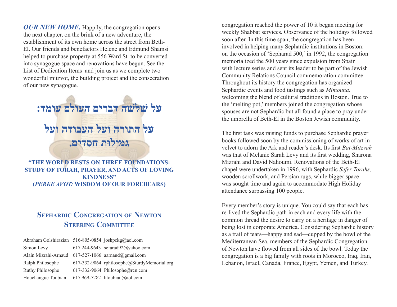*OUR NEW HOME*. Happily, the congregation opens the next chapter, on the brink of a new adventure, the establishment of its own home across the street from Beth-El. Our friends and benefactors Helene and Edmund Shamsi helped to purchase property at 556 Ward St. to be converted into synagogue space and renovations have begun. See the List of Dedication Items and join us as we complete two wonderful mitzvot, the building project and the consecration of our new synagogue.



**"THE WORLD RESTS ON THREE FOUNDATIONS: STUDY OF TORAH, PRAYER, AND ACTS OF LOVING KINDNESS" (***PERKE AVOT:* **WISDOM OF OUR FOREBEARS)** 

## **SEPHARDIC CONGREGATION OF NEWTON STEERING COMMITTEE**

| Abraham Golshirazian 516-805-0854 joshpckg@aol.com  |                                             |
|-----------------------------------------------------|---------------------------------------------|
| Simon Levy                                          | 617 244-9643 sefarad92@yahoo.com            |
| Alain Mizrahi-Arnaud 617-527-1066 aarnaud@gmail.com |                                             |
| Ralph Philosophe                                    | 617-332-9064 rphilosophe@SturdyMemorial.org |
| Ruthy Philosophe                                    | 617-332-9064 Philosophe@rcn.com             |
| Houchangue Toubian                                  | 617 969-7282 htoubian@aol.com               |

congregation reached the power of 10 it began meeting for weekly Shabbat services. Observance of the holidays followed soon after. In this time span, the congregation has been involved in helping many Sephardic institutions in Boston: on the occasion of 'Sepharad 500,' in 1992, the congregation memorialized the 500 years since expulsion from Spain with lecture series and sent its leader to be part of the Jewish Community Relations Council commemoration committee. Throughout its history the congregation has organized Sephardic events and food tastings such as *Mimouna,* welcoming the blend of cultural traditions in Boston. True to the 'melting pot,' members joined the congregation whose spouses are not Sephardic but all found a place to pray under the umbrella of Beth-El in the Boston Jewish community.

The first task was raising funds to purchase Sephardic prayer books followed soon by the commissioning of works of art in velvet to adorn the Ark and reader's desk. Its first *Bat-Mitzvah* was that of Melanie Sarah Levy and its first wedding, Sharona Mizrahi and David Nahoumi. Renovations of the Beth-El chapel were undertaken in 1996, with Sephardic *Sefer Torahs,* wooden scrollwork, and Persian rugs, while bigger space was sought time and again to accommodate High Holiday attendance surpassing 100 people.

Every member's story is unique. You could say that each has re-lived the Sephardic path in each and every life with the common thread the desire to carry on a heritage in danger of being lost in corporate America. Considering Sephardic history as a trail of tears—happy and sad—cupped by the bowl of the Mediterranean Sea, members of the Sephardic Congregation of Newton have flowed from all sides of the bowl. Today the congregation is a big family with roots in Morocco, Iraq, Iran, Lebanon, Israel, Canada, France, Egypt, Yemen, and Turkey.